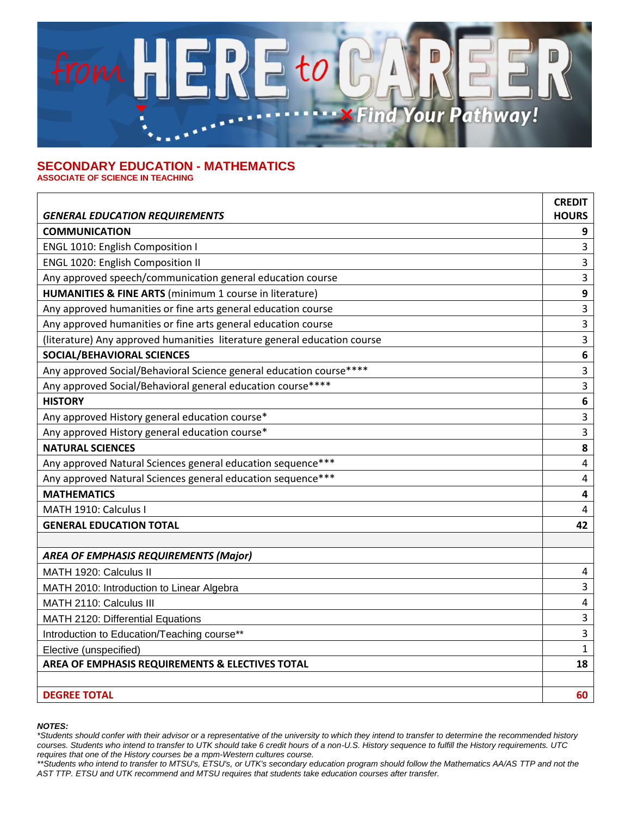

## **SECONDARY EDUCATION - MATHEMATICS ASSOCIATE OF SCIENCE IN TEACHING**

|                                                                          | <b>CREDIT</b>           |
|--------------------------------------------------------------------------|-------------------------|
| <b>GENERAL EDUCATION REQUIREMENTS</b>                                    | <b>HOURS</b>            |
| <b>COMMUNICATION</b>                                                     | 9                       |
| <b>ENGL 1010: English Composition I</b>                                  | 3                       |
| <b>ENGL 1020: English Composition II</b>                                 | 3                       |
| Any approved speech/communication general education course               | 3                       |
| HUMANITIES & FINE ARTS (minimum 1 course in literature)                  | 9                       |
| Any approved humanities or fine arts general education course            | 3                       |
| Any approved humanities or fine arts general education course            | 3                       |
| (literature) Any approved humanities literature general education course | 3                       |
| SOCIAL/BEHAVIORAL SCIENCES                                               | $\boldsymbol{6}$        |
| Any approved Social/Behavioral Science general education course****      | 3                       |
| Any approved Social/Behavioral general education course****              | 3                       |
| <b>HISTORY</b>                                                           | 6                       |
| Any approved History general education course*                           | 3                       |
| Any approved History general education course*                           | 3                       |
| <b>NATURAL SCIENCES</b>                                                  | 8                       |
| Any approved Natural Sciences general education sequence***              | 4                       |
| Any approved Natural Sciences general education sequence***              | 4                       |
| <b>MATHEMATICS</b>                                                       | $\overline{\mathbf{4}}$ |
| MATH 1910: Calculus I                                                    | 4                       |
| <b>GENERAL EDUCATION TOTAL</b>                                           | 42                      |
|                                                                          |                         |
| <b>AREA OF EMPHASIS REQUIREMENTS (Major)</b>                             |                         |
| MATH 1920: Calculus II                                                   | 4                       |
| MATH 2010: Introduction to Linear Algebra                                | 3                       |
| MATH 2110: Calculus III                                                  | 4                       |
| MATH 2120: Differential Equations                                        | 3                       |
| Introduction to Education/Teaching course**                              | 3                       |
| Elective (unspecified)                                                   | $\mathbf{1}$            |
| AREA OF EMPHASIS REQUIREMENTS & ELECTIVES TOTAL                          | 18                      |
|                                                                          |                         |
| <b>DEGREE TOTAL</b>                                                      | 60                      |

## *NOTES:*

*<sup>\*</sup>Students should confer with their advisor or a representative of the university to which they intend to transfer to determine the recommended history courses. Students who intend to transfer to UTK should take 6 credit hours of a non-U.S. History sequence to fulfill the History requirements. UTC requires that one of the History courses be a mpm-Western cultures course.* 

*<sup>\*\*</sup>Students who intend to transfer to MTSU's, ETSU's, or UTK's secondary education program should follow the Mathematics AA/AS TTP and not the AST TTP. ETSU and UTK recommend and MTSU requires that students take education courses after transfer.*